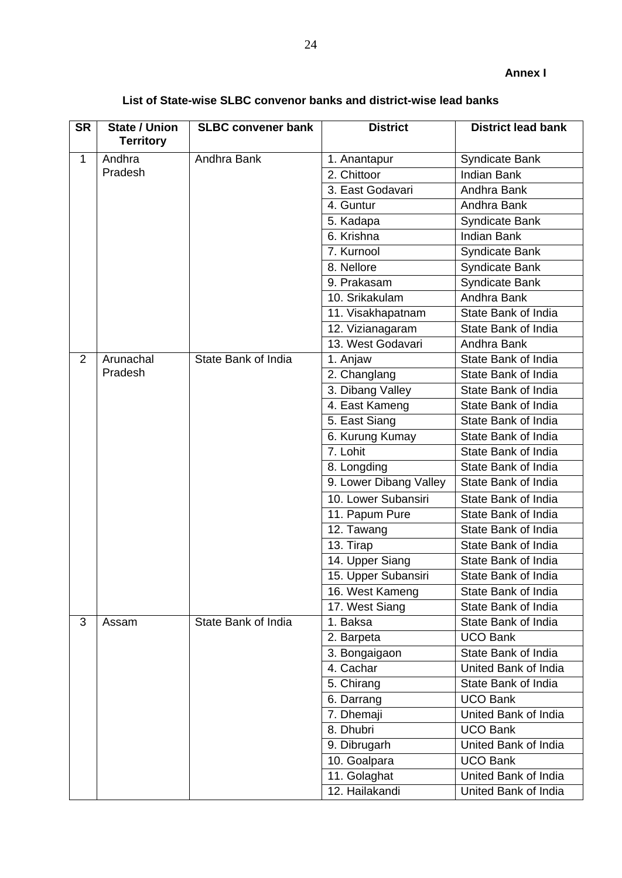| List of State-wise SLBC convenor banks and district-wise lead banks |  |
|---------------------------------------------------------------------|--|
|---------------------------------------------------------------------|--|

| <b>SR</b>      | <b>State / Union</b><br><b>Territory</b> | <b>SLBC convener bank</b> | <b>District</b>        | <b>District lead bank</b> |
|----------------|------------------------------------------|---------------------------|------------------------|---------------------------|
| $\mathbf{1}$   | Andhra                                   | Andhra Bank               | 1. Anantapur           | Syndicate Bank            |
|                | Pradesh                                  |                           | 2. Chittoor            | <b>Indian Bank</b>        |
|                |                                          |                           | 3. East Godavari       | Andhra Bank               |
|                |                                          |                           | 4. Guntur              | Andhra Bank               |
|                |                                          |                           | 5. Kadapa              | Syndicate Bank            |
|                |                                          |                           | 6. Krishna             | <b>Indian Bank</b>        |
|                |                                          |                           | 7. Kurnool             | Syndicate Bank            |
|                |                                          |                           | 8. Nellore             | <b>Syndicate Bank</b>     |
|                |                                          |                           | 9. Prakasam            | Syndicate Bank            |
|                |                                          |                           | 10. Srikakulam         | Andhra Bank               |
|                |                                          |                           | 11. Visakhapatnam      | State Bank of India       |
|                |                                          |                           | 12. Vizianagaram       | State Bank of India       |
|                |                                          |                           | 13. West Godavari      | Andhra Bank               |
| $\overline{2}$ | Arunachal                                | State Bank of India       | 1. Anjaw               | State Bank of India       |
|                | Pradesh                                  |                           | 2. Changlang           | State Bank of India       |
|                |                                          |                           | 3. Dibang Valley       | State Bank of India       |
|                |                                          |                           | 4. East Kameng         | State Bank of India       |
|                |                                          |                           | 5. East Siang          | State Bank of India       |
|                |                                          |                           | 6. Kurung Kumay        | State Bank of India       |
|                |                                          |                           | 7. Lohit               | State Bank of India       |
|                |                                          |                           | 8. Longding            | State Bank of India       |
|                |                                          |                           | 9. Lower Dibang Valley | State Bank of India       |
|                |                                          |                           | 10. Lower Subansiri    | State Bank of India       |
|                |                                          |                           | 11. Papum Pure         | State Bank of India       |
|                |                                          |                           | 12. Tawang             | State Bank of India       |
|                |                                          |                           | 13. Tirap              | State Bank of India       |
|                |                                          |                           | 14. Upper Siang        | State Bank of India       |
|                |                                          |                           | 15. Upper Subansiri    | State Bank of India       |
|                |                                          |                           | 16. West Kameng        | State Bank of India       |
|                |                                          |                           | 17. West Siang         | State Bank of India       |
| 3              | Assam                                    | State Bank of India       | 1. Baksa               | State Bank of India       |
|                |                                          |                           | 2. Barpeta             | <b>UCO Bank</b>           |
|                |                                          |                           | 3. Bongaigaon          | State Bank of India       |
|                |                                          |                           | 4. Cachar              | United Bank of India      |
|                |                                          |                           | 5. Chirang             | State Bank of India       |
|                |                                          |                           | 6. Darrang             | <b>UCO Bank</b>           |
|                |                                          |                           | 7. Dhemaji             | United Bank of India      |
|                |                                          |                           | 8. Dhubri              | <b>UCO Bank</b>           |
|                |                                          |                           | 9. Dibrugarh           | United Bank of India      |
|                |                                          |                           | 10. Goalpara           | <b>UCO Bank</b>           |
|                |                                          |                           | 11. Golaghat           | United Bank of India      |
|                |                                          |                           | 12. Hailakandi         | United Bank of India      |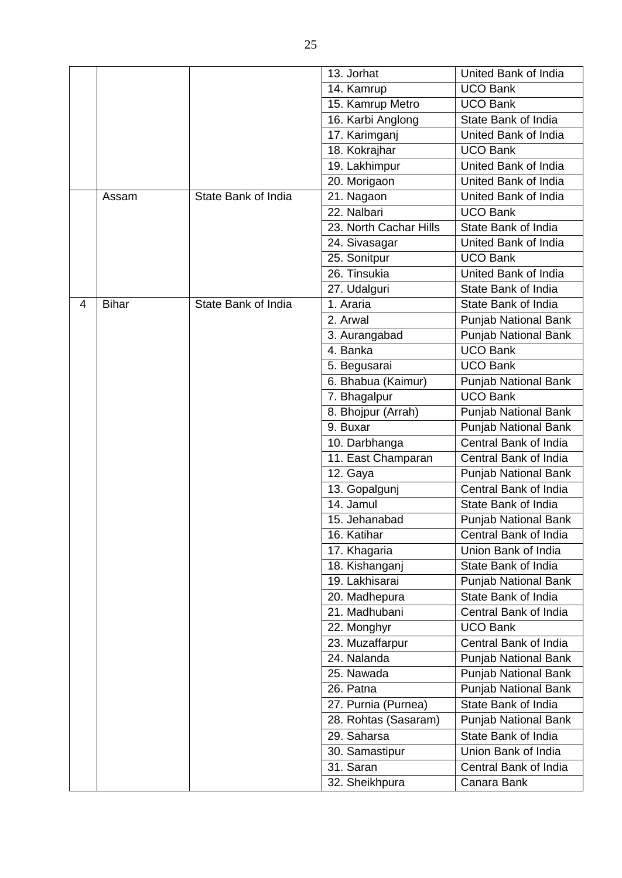|   |              |                     | 13. Jorhat                  | United Bank of India                   |
|---|--------------|---------------------|-----------------------------|----------------------------------------|
|   |              |                     | 14. Kamrup                  | <b>UCO Bank</b>                        |
|   |              |                     |                             |                                        |
|   |              |                     | 15. Kamrup Metro            | <b>UCO Bank</b><br>State Bank of India |
|   |              |                     | 16. Karbi Anglong           |                                        |
|   |              |                     | 17. Karimganj               | United Bank of India                   |
|   |              |                     | 18. Kokrajhar               | <b>UCO Bank</b>                        |
|   |              |                     | 19. Lakhimpur               | United Bank of India                   |
|   |              |                     | 20. Morigaon                | United Bank of India                   |
|   | Assam        | State Bank of India | 21. Nagaon                  | United Bank of India                   |
|   |              |                     | 22. Nalbari                 | <b>UCO Bank</b>                        |
|   |              |                     | 23. North Cachar Hills      | State Bank of India                    |
|   |              |                     | 24. Sivasagar               | United Bank of India                   |
|   |              |                     | 25. Sonitpur                | <b>UCO Bank</b>                        |
|   |              |                     | 26. Tinsukia                | United Bank of India                   |
|   |              |                     | 27. Udalguri                | State Bank of India                    |
| 4 | <b>Bihar</b> | State Bank of India | 1. Araria                   | State Bank of India                    |
|   |              |                     | 2. Arwal                    | <b>Punjab National Bank</b>            |
|   |              |                     | 3. Aurangabad               | Punjab National Bank                   |
|   |              |                     | 4. Banka                    | <b>UCO Bank</b>                        |
|   |              |                     | 5. Begusarai                | <b>UCO Bank</b>                        |
|   |              |                     | 6. Bhabua (Kaimur)          | Punjab National Bank                   |
|   |              |                     | 7. Bhagalpur                | <b>UCO Bank</b>                        |
|   |              |                     | 8. Bhojpur (Arrah)          | Punjab National Bank                   |
|   |              |                     | 9. Buxar                    | <b>Punjab National Bank</b>            |
|   |              |                     | 10. Darbhanga               | Central Bank of India                  |
|   |              |                     | 11. East Champaran          | Central Bank of India                  |
|   |              |                     | 12. Gaya                    | Punjab National Bank                   |
|   |              |                     | 13. Gopalgunj               | Central Bank of India                  |
|   |              |                     | 14. Jamul                   | State Bank of India                    |
|   |              |                     | 15. Jehanabad               | <b>Punjab National Bank</b>            |
|   |              |                     | 16. Katihar                 | Central Bank of India                  |
|   |              |                     | 17. Khagaria                | Union Bank of India                    |
|   |              |                     | 18. Kishanganj              | State Bank of India                    |
|   |              |                     | 19. Lakhisarai              | Punjab National Bank                   |
|   |              |                     | 20. Madhepura               | State Bank of India                    |
|   |              |                     | $\overline{21}$ . Madhubani | Central Bank of India                  |
|   |              |                     | 22. Monghyr                 | <b>UCO Bank</b>                        |
|   |              |                     | 23. Muzaffarpur             | Central Bank of India                  |
|   |              |                     | 24. Nalanda                 | Punjab National Bank                   |
|   |              |                     | 25. Nawada                  | Punjab National Bank                   |
|   |              |                     | 26. Patna                   | <b>Punjab National Bank</b>            |
|   |              |                     | 27. Purnia (Purnea)         | State Bank of India                    |
|   |              |                     |                             |                                        |
|   |              |                     | 28. Rohtas (Sasaram)        | Punjab National Bank                   |
|   |              |                     | 29. Saharsa                 | State Bank of India                    |
|   |              |                     | 30. Samastipur              | Union Bank of India                    |
|   |              |                     | 31. Saran                   | Central Bank of India                  |
|   |              |                     | 32. Sheikhpura              | Canara Bank                            |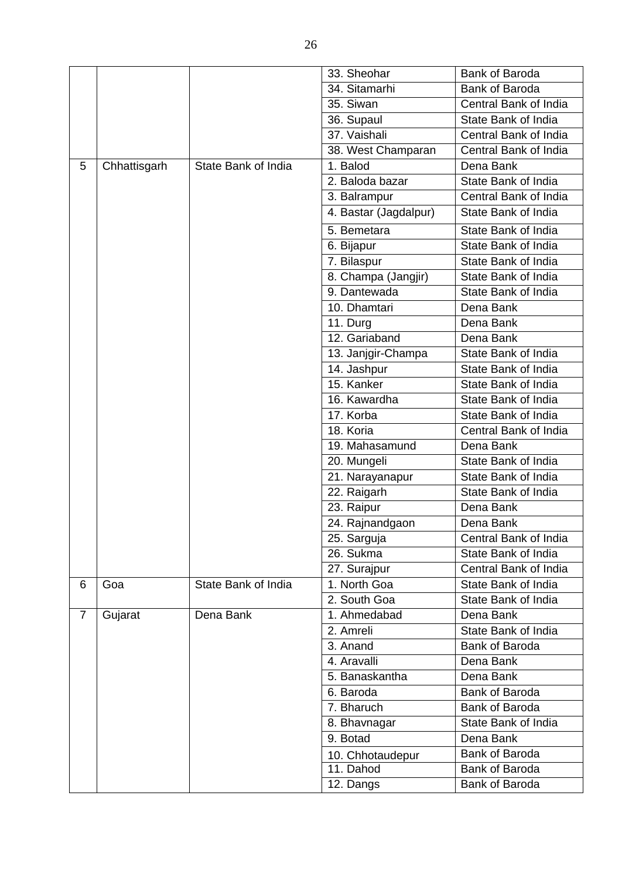|                |              |                     | 33. Sheohar           | <b>Bank of Baroda</b> |
|----------------|--------------|---------------------|-----------------------|-----------------------|
|                |              |                     | 34. Sitamarhi         | <b>Bank of Baroda</b> |
|                |              |                     | 35. Siwan             | Central Bank of India |
|                |              |                     | 36. Supaul            | State Bank of India   |
|                |              |                     | 37. Vaishali          | Central Bank of India |
|                |              |                     | 38. West Champaran    | Central Bank of India |
| 5              | Chhattisgarh | State Bank of India | 1. Balod              | Dena Bank             |
|                |              |                     | 2. Baloda bazar       | State Bank of India   |
|                |              |                     | 3. Balrampur          | Central Bank of India |
|                |              |                     | 4. Bastar (Jagdalpur) | State Bank of India   |
|                |              |                     | 5. Bemetara           | State Bank of India   |
|                |              |                     | 6. Bijapur            | State Bank of India   |
|                |              |                     | 7. Bilaspur           | State Bank of India   |
|                |              |                     | 8. Champa (Jangjir)   | State Bank of India   |
|                |              |                     | 9. Dantewada          | State Bank of India   |
|                |              |                     | 10. Dhamtari          | Dena Bank             |
|                |              |                     | 11. Durg              | Dena Bank             |
|                |              |                     | 12. Gariaband         | Dena Bank             |
|                |              |                     | 13. Janjgir-Champa    | State Bank of India   |
|                |              |                     | 14. Jashpur           | State Bank of India   |
|                |              |                     | 15. Kanker            | State Bank of India   |
|                |              |                     | 16. Kawardha          | State Bank of India   |
|                |              |                     | 17. Korba             | State Bank of India   |
|                |              |                     | 18. Koria             | Central Bank of India |
|                |              |                     | 19. Mahasamund        | Dena Bank             |
|                |              |                     | 20. Mungeli           | State Bank of India   |
|                |              |                     | 21. Narayanapur       | State Bank of India   |
|                |              |                     | 22. Raigarh           | State Bank of India   |
|                |              |                     | 23. Raipur            | Dena Bank             |
|                |              |                     | 24. Rajnandgaon       | Dena Bank             |
|                |              |                     | 25. Sarguja           | Central Bank of India |
|                |              |                     | 26. Sukma             | State Bank of India   |
|                |              |                     | 27. Surajpur          | Central Bank of India |
| 6              | Goa          | State Bank of India | 1. North Goa          | State Bank of India   |
|                |              |                     | 2. South Goa          | State Bank of India   |
| $\overline{7}$ | Gujarat      | Dena Bank           | 1. Ahmedabad          | Dena Bank             |
|                |              |                     | 2. Amreli             | State Bank of India   |
|                |              |                     | 3. Anand              | <b>Bank of Baroda</b> |
|                |              |                     | 4. Aravalli           | Dena Bank             |
|                |              |                     | 5. Banaskantha        | Dena Bank             |
|                |              |                     | 6. Baroda             | Bank of Baroda        |
|                |              |                     | 7. Bharuch            | Bank of Baroda        |
|                |              |                     | 8. Bhavnagar          | State Bank of India   |
|                |              |                     | 9. Botad              | Dena Bank             |
|                |              |                     | 10. Chhotaudepur      | Bank of Baroda        |
|                |              |                     | 11. Dahod             | Bank of Baroda        |
|                |              |                     | 12. Dangs             | Bank of Baroda        |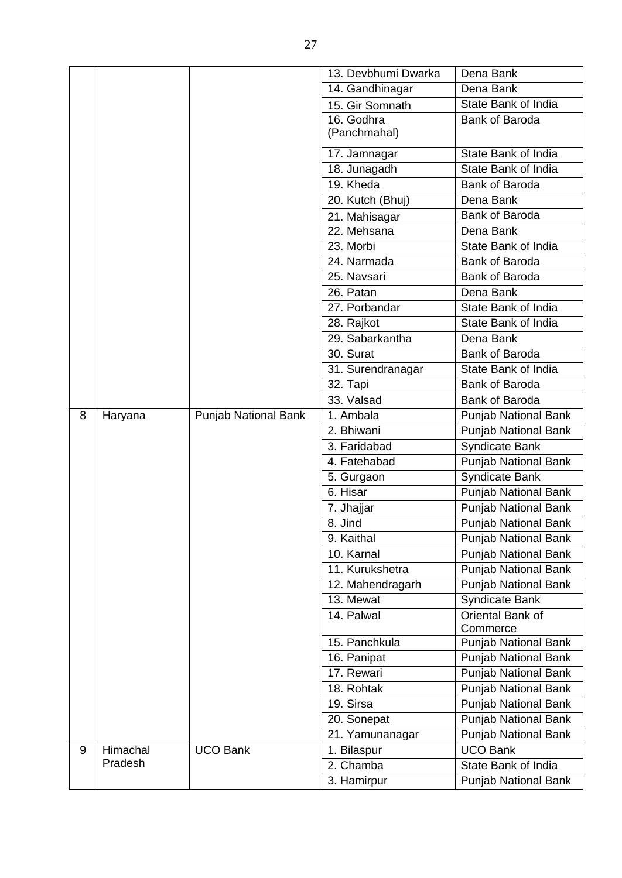|   |          |                             | 13. Devbhumi Dwarka | Dena Bank                    |
|---|----------|-----------------------------|---------------------|------------------------------|
|   |          |                             | 14. Gandhinagar     | Dena Bank                    |
|   |          |                             | 15. Gir Somnath     | State Bank of India          |
|   |          |                             | 16. Godhra          | <b>Bank of Baroda</b>        |
|   |          |                             | (Panchmahal)        |                              |
|   |          |                             | 17. Jamnagar        | State Bank of India          |
|   |          |                             | 18. Junagadh        | State Bank of India          |
|   |          |                             | 19. Kheda           | <b>Bank of Baroda</b>        |
|   |          |                             | 20. Kutch (Bhuj)    | Dena Bank                    |
|   |          |                             | 21. Mahisagar       | <b>Bank of Baroda</b>        |
|   |          |                             | 22. Mehsana         | Dena Bank                    |
|   |          |                             | 23. Morbi           | State Bank of India          |
|   |          |                             | 24. Narmada         | Bank of Baroda               |
|   |          |                             | 25. Navsari         | Bank of Baroda               |
|   |          |                             | 26. Patan           | Dena Bank                    |
|   |          |                             | 27. Porbandar       | State Bank of India          |
|   |          |                             | 28. Rajkot          | State Bank of India          |
|   |          |                             | 29. Sabarkantha     | Dena Bank                    |
|   |          |                             | 30. Surat           | Bank of Baroda               |
|   |          |                             | 31. Surendranagar   | State Bank of India          |
|   |          |                             | 32. Tapi            | <b>Bank of Baroda</b>        |
|   |          |                             | 33. Valsad          | Bank of Baroda               |
| 8 | Haryana  | <b>Punjab National Bank</b> | 1. Ambala           | Punjab National Bank         |
|   |          |                             | 2. Bhiwani          | Punjab National Bank         |
|   |          |                             | 3. Faridabad        | Syndicate Bank               |
|   |          |                             | 4. Fatehabad        | <b>Punjab National Bank</b>  |
|   |          |                             | 5. Gurgaon          | <b>Syndicate Bank</b>        |
|   |          |                             | 6. Hisar            | <b>Punjab National Bank</b>  |
|   |          |                             | 7. Jhajjar          | <b>Punjab National Bank</b>  |
|   |          |                             | 8. Jind             | <b>Punjab National Bank</b>  |
|   |          |                             | 9. Kaithal          | <b>Punjab National Bank</b>  |
|   |          |                             | 10. Karnal          | Punjab National Bank         |
|   |          |                             | 11. Kurukshetra     | <b>Punjab National Bank</b>  |
|   |          |                             | 12. Mahendragarh    | Punjab National Bank         |
|   |          |                             | 13. Mewat           | Syndicate Bank               |
|   |          |                             | 14. Palwal          | Oriental Bank of<br>Commerce |
|   |          |                             | 15. Panchkula       | Punjab National Bank         |
|   |          |                             | 16. Panipat         | Punjab National Bank         |
|   |          |                             | 17. Rewari          | <b>Punjab National Bank</b>  |
|   |          |                             | 18. Rohtak          | Punjab National Bank         |
|   |          |                             | $19.$ Sirsa         | <b>Punjab National Bank</b>  |
|   |          |                             | 20. Sonepat         | Punjab National Bank         |
|   |          |                             | 21. Yamunanagar     | <b>Punjab National Bank</b>  |
| 9 | Himachal | <b>UCO Bank</b>             | 1. Bilaspur         | <b>UCO Bank</b>              |
|   | Pradesh  |                             | 2. Chamba           | State Bank of India          |
|   |          |                             | 3. Hamirpur         | Punjab National Bank         |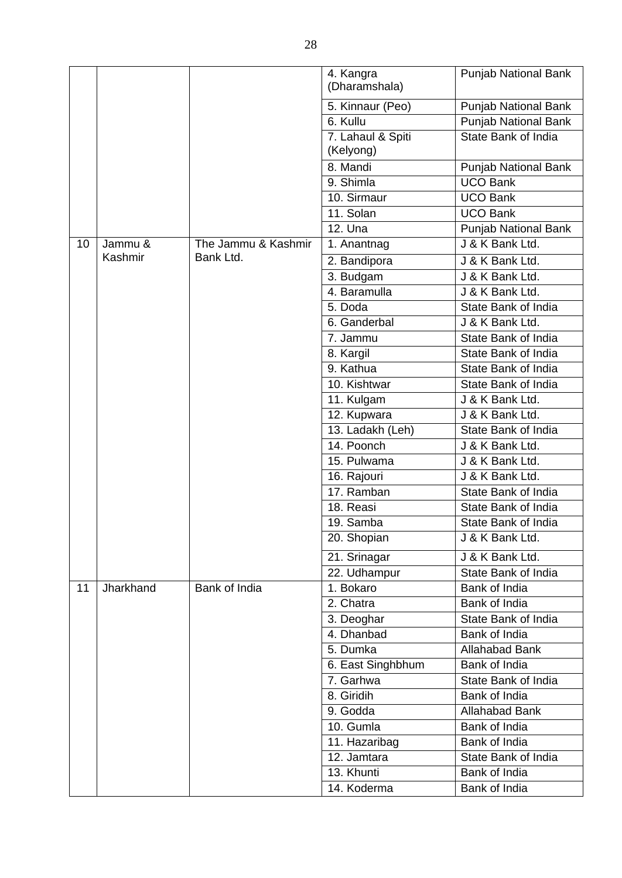|    |           |                     | 4. Kangra<br>(Dharamshala) | <b>Punjab National Bank</b> |
|----|-----------|---------------------|----------------------------|-----------------------------|
|    |           |                     | 5. Kinnaur (Peo)           | <b>Punjab National Bank</b> |
|    |           |                     | 6. Kullu                   | <b>Punjab National Bank</b> |
|    |           |                     | 7. Lahaul & Spiti          | State Bank of India         |
|    |           |                     | (Kelyong)                  |                             |
|    |           |                     | 8. Mandi                   | <b>Punjab National Bank</b> |
|    |           |                     | 9. Shimla                  | <b>UCO Bank</b>             |
|    |           |                     | 10. Sirmaur                | <b>UCO Bank</b>             |
|    |           |                     | 11. Solan                  | <b>UCO Bank</b>             |
|    |           |                     | 12. Una                    | Punjab National Bank        |
| 10 | Jammu &   | The Jammu & Kashmir | 1. Anantnag                | J & K Bank Ltd.             |
|    | Kashmir   | Bank Ltd.           | 2. Bandipora               | J & K Bank Ltd.             |
|    |           |                     | 3. Budgam                  | J & K Bank Ltd.             |
|    |           |                     | 4. Baramulla               | J & K Bank Ltd.             |
|    |           |                     | 5. Doda                    | State Bank of India         |
|    |           |                     | 6. Ganderbal               | J & K Bank Ltd.             |
|    |           |                     | 7. Jammu                   | State Bank of India         |
|    |           |                     | 8. Kargil                  | State Bank of India         |
|    |           |                     | 9. Kathua                  | State Bank of India         |
|    |           |                     | 10. Kishtwar               | State Bank of India         |
|    |           |                     | 11. Kulgam                 | J & K Bank Ltd.             |
|    |           |                     | 12. Kupwara                | J & K Bank Ltd.             |
|    |           |                     | 13. Ladakh (Leh)           | State Bank of India         |
|    |           |                     | 14. Poonch                 | J & K Bank Ltd.             |
|    |           |                     | 15. Pulwama                | J & K Bank Ltd.             |
|    |           |                     | 16. Rajouri                | J & K Bank Ltd.             |
|    |           |                     | 17. Ramban                 | State Bank of India         |
|    |           |                     | 18. Reasi                  | State Bank of India         |
|    |           |                     | 19. Samba                  | State Bank of India         |
|    |           |                     | 20. Shopian                | J & K Bank Ltd.             |
|    |           |                     | 21. Srinagar               | J & K Bank Ltd.             |
|    |           |                     | 22. Udhampur               | State Bank of India         |
| 11 | Jharkhand | Bank of India       | 1. Bokaro                  | Bank of India               |
|    |           |                     | 2. Chatra                  | Bank of India               |
|    |           |                     | 3. Deoghar                 | State Bank of India         |
|    |           |                     | 4. Dhanbad                 | Bank of India               |
|    |           |                     | 5. Dumka                   | <b>Allahabad Bank</b>       |
|    |           |                     | 6. East Singhbhum          | Bank of India               |
|    |           |                     | 7. Garhwa                  | State Bank of India         |
|    |           |                     | 8. Giridih                 | Bank of India               |
|    |           |                     | 9. Godda                   | <b>Allahabad Bank</b>       |
|    |           |                     | 10. Gumla                  | Bank of India               |
|    |           |                     | 11. Hazaribag              | Bank of India               |
|    |           |                     | 12. Jamtara                | State Bank of India         |
|    |           |                     | 13. Khunti                 | Bank of India               |
|    |           |                     | 14. Koderma                | Bank of India               |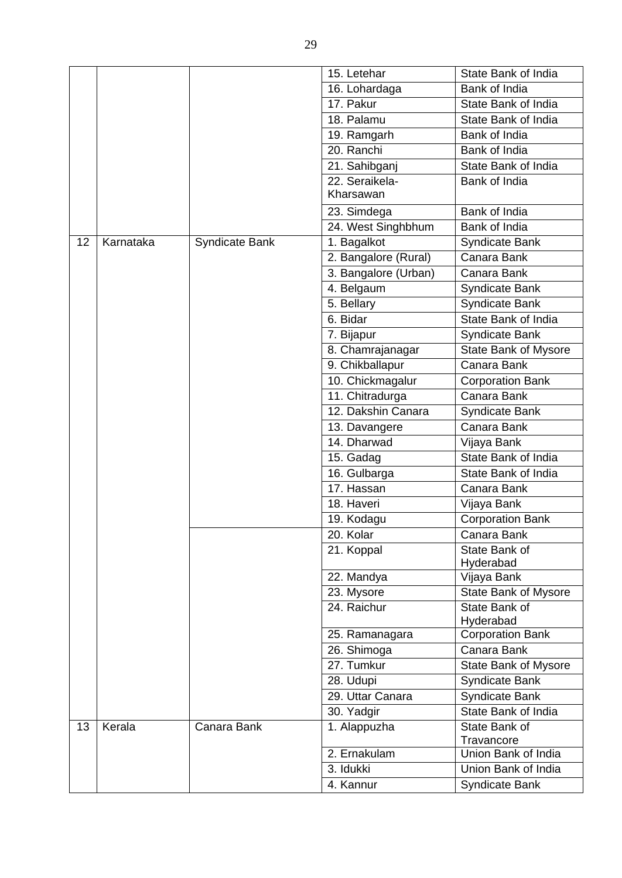|    |           |                       | 15. Letehar          | State Bank of India         |
|----|-----------|-----------------------|----------------------|-----------------------------|
|    |           |                       | 16. Lohardaga        | Bank of India               |
|    |           |                       | 17. Pakur            | State Bank of India         |
|    |           |                       | 18. Palamu           | State Bank of India         |
|    |           |                       | 19. Ramgarh          | Bank of India               |
|    |           |                       | 20. Ranchi           | Bank of India               |
|    |           |                       | 21. Sahibganj        | State Bank of India         |
|    |           |                       | 22. Seraikela-       | Bank of India               |
|    |           |                       | Kharsawan            |                             |
|    |           |                       | 23. Simdega          | Bank of India               |
|    |           |                       | 24. West Singhbhum   | Bank of India               |
| 12 | Karnataka | <b>Syndicate Bank</b> | 1. Bagalkot          | Syndicate Bank              |
|    |           |                       | 2. Bangalore (Rural) | Canara Bank                 |
|    |           |                       | 3. Bangalore (Urban) | Canara Bank                 |
|    |           |                       | 4. Belgaum           | <b>Syndicate Bank</b>       |
|    |           |                       | 5. Bellary           | <b>Syndicate Bank</b>       |
|    |           |                       | 6. Bidar             | State Bank of India         |
|    |           |                       | 7. Bijapur           | <b>Syndicate Bank</b>       |
|    |           |                       | 8. Chamrajanagar     | <b>State Bank of Mysore</b> |
|    |           |                       | 9. Chikballapur      | Canara Bank                 |
|    |           |                       | 10. Chickmagalur     | Corporation Bank            |
|    |           |                       | 11. Chitradurga      | Canara Bank                 |
|    |           |                       | 12. Dakshin Canara   | Syndicate Bank              |
|    |           |                       | 13. Davangere        | Canara Bank                 |
|    |           |                       | 14. Dharwad          | Vijaya Bank                 |
|    |           |                       | 15. Gadag            | State Bank of India         |
|    |           |                       | 16. Gulbarga         | State Bank of India         |
|    |           |                       | 17. Hassan           | Canara Bank                 |
|    |           |                       | 18. Haveri           | Vijaya Bank                 |
|    |           |                       | 19. Kodagu           | <b>Corporation Bank</b>     |
|    |           |                       | 20. Kolar            | Canara Bank                 |
|    |           |                       | 21. Koppal           | State Bank of<br>Hyderabad  |
|    |           |                       | 22. Mandya           | Vijaya Bank                 |
|    |           |                       | 23. Mysore           | <b>State Bank of Mysore</b> |
|    |           |                       | 24. Raichur          | State Bank of               |
|    |           |                       |                      | Hyderabad                   |
|    |           |                       | 25. Ramanagara       | <b>Corporation Bank</b>     |
|    |           |                       | 26. Shimoga          | Canara Bank                 |
|    |           |                       | 27. Tumkur           | <b>State Bank of Mysore</b> |
|    |           |                       | 28. Udupi            | <b>Syndicate Bank</b>       |
|    |           |                       | 29. Uttar Canara     | <b>Syndicate Bank</b>       |
|    |           |                       | 30. Yadgir           | State Bank of India         |
| 13 | Kerala    | Canara Bank           | 1. Alappuzha         | State Bank of               |
|    |           |                       |                      | Travancore                  |
|    |           |                       | 2. Ernakulam         | Union Bank of India         |
|    |           |                       | 3. Idukki            | Union Bank of India         |
|    |           |                       | 4. Kannur            | Syndicate Bank              |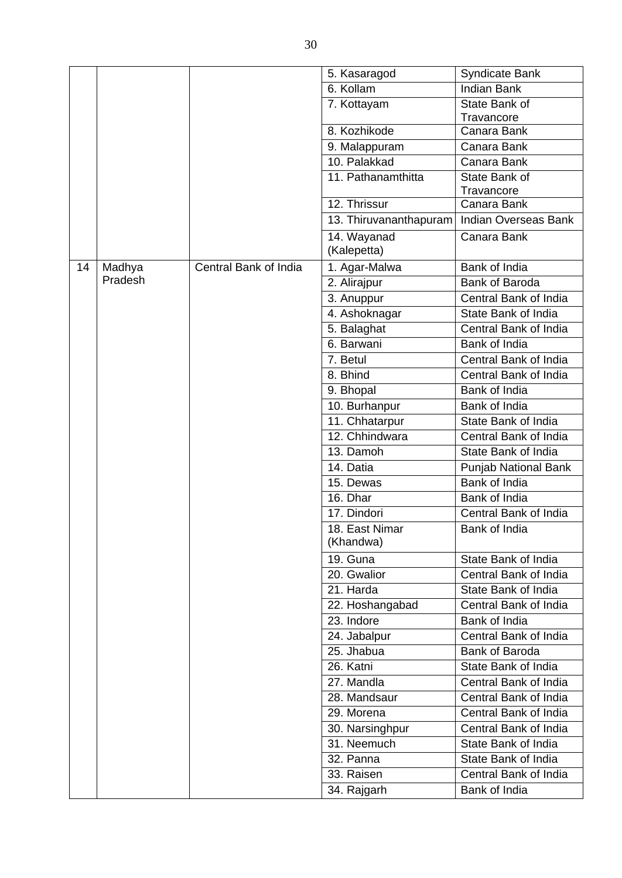|    |         |                       | 5. Kasaragod                    | <b>Syndicate Bank</b>                        |
|----|---------|-----------------------|---------------------------------|----------------------------------------------|
|    |         |                       | 6. Kollam                       | <b>Indian Bank</b>                           |
|    |         |                       | 7. Kottayam                     | State Bank of                                |
|    |         |                       |                                 | Travancore                                   |
|    |         |                       | 8. Kozhikode                    | Canara Bank                                  |
|    |         |                       | 9. Malappuram                   | Canara Bank                                  |
|    |         |                       | 10. Palakkad                    | Canara Bank                                  |
|    |         |                       | 11. Pathanamthitta              | State Bank of<br>Travancore                  |
|    |         |                       | 12. Thrissur                    | Canara Bank                                  |
|    |         |                       | 13. Thiruvananthapuram          | <b>Indian Overseas Bank</b>                  |
|    |         |                       | 14. Wayanad<br>(Kalepetta)      | Canara Bank                                  |
| 14 | Madhya  | Central Bank of India | 1. Agar-Malwa                   | Bank of India                                |
|    | Pradesh |                       | 2. Alirajpur                    | <b>Bank of Baroda</b>                        |
|    |         |                       | 3. Anuppur                      | Central Bank of India                        |
|    |         |                       | 4. Ashoknagar                   | State Bank of India                          |
|    |         |                       | 5. Balaghat                     | Central Bank of India                        |
|    |         |                       | 6. Barwani                      | Bank of India                                |
|    |         |                       | 7. Betul                        | Central Bank of India                        |
|    |         |                       | 8. Bhind                        | Central Bank of India                        |
|    |         |                       | 9. Bhopal                       | Bank of India                                |
|    |         |                       |                                 | Bank of India                                |
|    |         |                       | 10. Burhanpur<br>11. Chhatarpur | State Bank of India                          |
|    |         |                       | 12. Chhindwara                  | Central Bank of India                        |
|    |         |                       | 13. Damoh                       | State Bank of India                          |
|    |         |                       | 14. Datia                       |                                              |
|    |         |                       | 15. Dewas                       | <b>Punjab National Bank</b><br>Bank of India |
|    |         |                       |                                 |                                              |
|    |         |                       | 16. Dhar                        | Bank of India<br>Central Bank of India       |
|    |         |                       | 17. Dindori                     | Bank of India                                |
|    |         |                       | 18. East Nimar<br>(Khandwa)     |                                              |
|    |         |                       | 19. Guna                        | State Bank of India                          |
|    |         |                       | 20. Gwalior                     | Central Bank of India                        |
|    |         |                       | $21.$ Harda                     | State Bank of India                          |
|    |         |                       | 22. Hoshangabad                 | Central Bank of India                        |
|    |         |                       | 23. Indore                      | Bank of India                                |
|    |         |                       | 24. Jabalpur                    | Central Bank of India                        |
|    |         |                       | 25. Jhabua                      | <b>Bank of Baroda</b>                        |
|    |         |                       | 26. Katni                       | State Bank of India                          |
|    |         |                       | 27. Mandla                      | Central Bank of India                        |
|    |         |                       | 28. Mandsaur                    | Central Bank of India                        |
|    |         |                       | 29. Morena                      | Central Bank of India                        |
|    |         |                       | 30. Narsinghpur                 | Central Bank of India                        |
|    |         |                       | 31. Neemuch                     | State Bank of India                          |
|    |         |                       | 32. Panna                       | State Bank of India                          |
|    |         |                       | 33. Raisen                      | Central Bank of India                        |
|    |         |                       | 34. Rajgarh                     | Bank of India                                |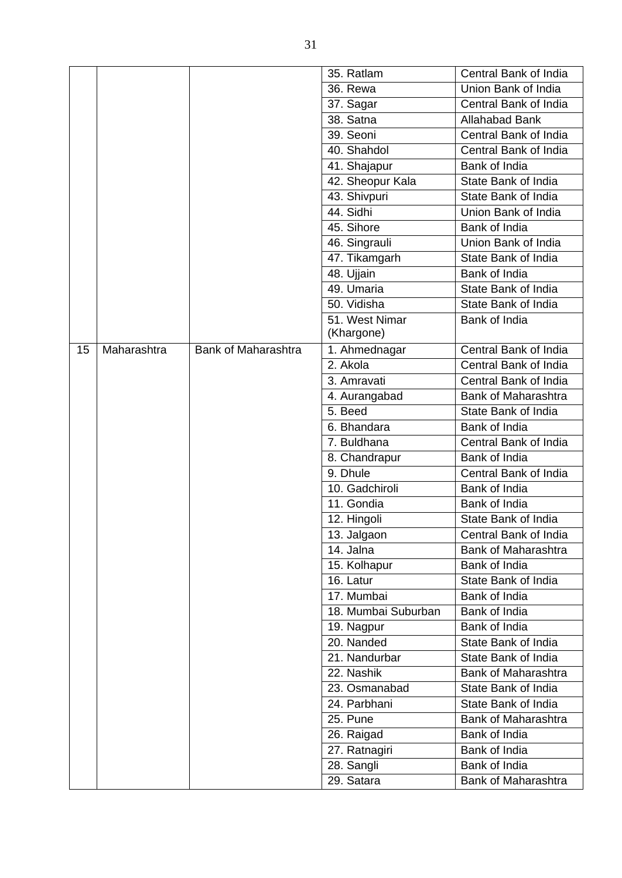|    |             |                            | 35. Ratlam               | Central Bank of India                      |
|----|-------------|----------------------------|--------------------------|--------------------------------------------|
|    |             |                            | <b>36. Rewa</b>          | Union Bank of India                        |
|    |             |                            | 37. Sagar                | Central Bank of India                      |
|    |             |                            | 38. Satna                | <b>Allahabad Bank</b>                      |
|    |             |                            | 39. Seoni                | Central Bank of India                      |
|    |             |                            | 40. Shahdol              | Central Bank of India                      |
|    |             |                            | 41. Shajapur             | Bank of India                              |
|    |             |                            | 42. Sheopur Kala         | State Bank of India                        |
|    |             |                            | 43. Shivpuri             | State Bank of India                        |
|    |             |                            | 44. Sidhi                | Union Bank of India                        |
|    |             |                            | 45. Sihore               | Bank of India                              |
|    |             |                            | 46. Singrauli            | Union Bank of India                        |
|    |             |                            | 47. Tikamgarh            | State Bank of India                        |
|    |             |                            | 48. Ujjain               | Bank of India                              |
|    |             |                            | 49. Umaria               | State Bank of India                        |
|    |             |                            | 50. Vidisha              | State Bank of India                        |
|    |             |                            | 51. West Nimar           | Bank of India                              |
|    |             |                            | (Khargone)               |                                            |
| 15 | Maharashtra | <b>Bank of Maharashtra</b> | 1. Ahmednagar            | Central Bank of India                      |
|    |             |                            | 2. Akola                 | Central Bank of India                      |
|    |             |                            | 3. Amravati              | Central Bank of India                      |
|    |             |                            | 4. Aurangabad<br>5. Beed | Bank of Maharashtra<br>State Bank of India |
|    |             |                            | 6. Bhandara              | Bank of India                              |
|    |             |                            | 7. Buldhana              | Central Bank of India                      |
|    |             |                            | 8. Chandrapur            | Bank of India                              |
|    |             |                            | 9. Dhule                 | Central Bank of India                      |
|    |             |                            | 10. Gadchiroli           | Bank of India                              |
|    |             |                            | 11. Gondia               | Bank of India                              |
|    |             |                            | 12. Hingoli              | State Bank of India                        |
|    |             |                            | 13. Jalgaon              | Central Bank of India                      |
|    |             |                            | 14. Jalna                | <b>Bank of Maharashtra</b>                 |
|    |             |                            | 15. Kolhapur             | Bank of India                              |
|    |             |                            | 16. Latur                | State Bank of India                        |
|    |             |                            | 17. Mumbai               | <b>Bank of India</b>                       |
|    |             |                            | 18. Mumbai Suburban      | Bank of India                              |
|    |             |                            | 19. Nagpur               | Bank of India                              |
|    |             |                            | 20. Nanded               | State Bank of India                        |
|    |             |                            | 21. Nandurbar            | State Bank of India                        |
|    |             |                            | 22. Nashik               | Bank of Maharashtra                        |
|    |             |                            | 23. Osmanabad            | State Bank of India                        |
|    |             |                            | 24. Parbhani             | State Bank of India                        |
|    |             |                            | 25. Pune                 | Bank of Maharashtra                        |
|    |             |                            | 26. Raigad               | Bank of India                              |
|    |             |                            | 27. Ratnagiri            | Bank of India                              |
|    |             |                            | 28. Sangli               | Bank of India                              |
|    |             |                            | 29. Satara               | Bank of Maharashtra                        |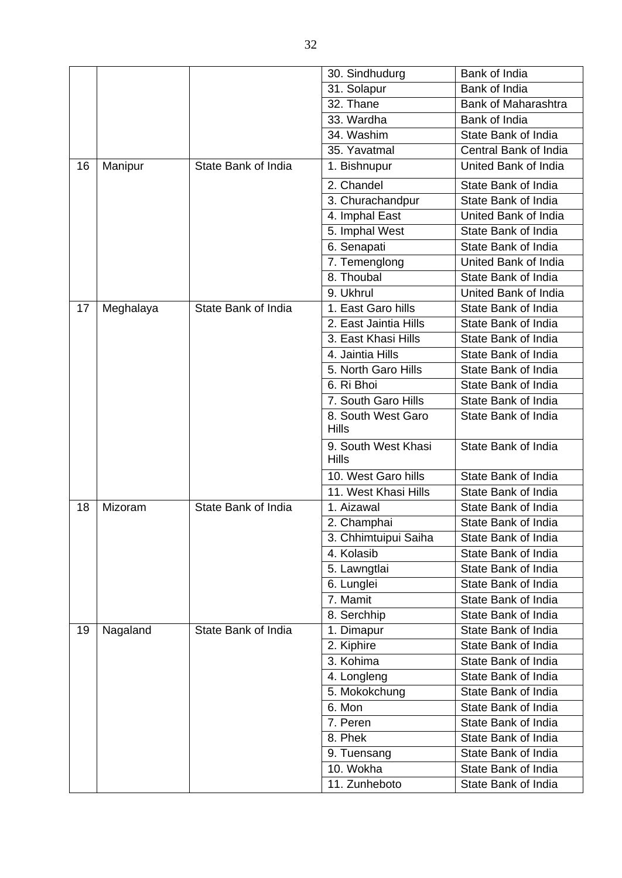|    |           |                     | 30. Sindhudurg                      | Bank of India              |
|----|-----------|---------------------|-------------------------------------|----------------------------|
|    |           |                     | 31. Solapur                         | <b>Bank of India</b>       |
|    |           |                     | 32. Thane                           | <b>Bank of Maharashtra</b> |
|    |           |                     | 33. Wardha                          | Bank of India              |
|    |           |                     | 34. Washim                          | State Bank of India        |
|    |           |                     | 35. Yavatmal                        | Central Bank of India      |
| 16 | Manipur   | State Bank of India | 1. Bishnupur                        | United Bank of India       |
|    |           |                     | 2. Chandel                          | State Bank of India        |
|    |           |                     | 3. Churachandpur                    | State Bank of India        |
|    |           |                     | 4. Imphal East                      | United Bank of India       |
|    |           |                     | 5. Imphal West                      | State Bank of India        |
|    |           |                     | 6. Senapati                         | State Bank of India        |
|    |           |                     | 7. Temenglong                       | United Bank of India       |
|    |           |                     | 8. Thoubal                          | State Bank of India        |
|    |           |                     | 9. Ukhrul                           | United Bank of India       |
| 17 | Meghalaya | State Bank of India | 1. East Garo hills                  | State Bank of India        |
|    |           |                     | 2. East Jaintia Hills               | State Bank of India        |
|    |           |                     | 3. East Khasi Hills                 | State Bank of India        |
|    |           |                     | 4. Jaintia Hills                    | State Bank of India        |
|    |           |                     | 5. North Garo Hills                 | State Bank of India        |
|    |           |                     | 6. Ri Bhoi                          | State Bank of India        |
|    |           |                     | 7. South Garo Hills                 | State Bank of India        |
|    |           |                     | 8. South West Garo<br><b>Hills</b>  | State Bank of India        |
|    |           |                     | 9. South West Khasi<br><b>Hills</b> | State Bank of India        |
|    |           |                     | 10. West Garo hills                 | State Bank of India        |
|    |           |                     | 11. West Khasi Hills                | State Bank of India        |
| 18 | Mizoram   | State Bank of India | 1. Aizawal                          | State Bank of India        |
|    |           |                     | 2. Champhai                         | State Bank of India        |
|    |           |                     | 3. Chhimtuipui Saiha                | State Bank of India        |
|    |           |                     | 4. Kolasib                          | State Bank of India        |
|    |           |                     | 5. Lawngtlai                        | State Bank of India        |
|    |           |                     | 6. Lunglei                          | State Bank of India        |
|    |           |                     | 7. Mamit                            | State Bank of India        |
|    |           |                     | 8. Serchhip                         | State Bank of India        |
| 19 | Nagaland  | State Bank of India | 1. Dimapur                          | State Bank of India        |
|    |           |                     | 2. Kiphire                          | State Bank of India        |
|    |           |                     | 3. Kohima                           | State Bank of India        |
|    |           |                     | 4. Longleng                         | State Bank of India        |
|    |           |                     | 5. Mokokchung                       | State Bank of India        |
|    |           |                     | 6. Mon                              | State Bank of India        |
|    |           |                     | 7. Peren                            | State Bank of India        |
|    |           |                     | 8. Phek                             | State Bank of India        |
|    |           |                     | 9. Tuensang                         | State Bank of India        |
|    |           |                     | 10. Wokha                           | State Bank of India        |
|    |           |                     | 11. Zunheboto                       | State Bank of India        |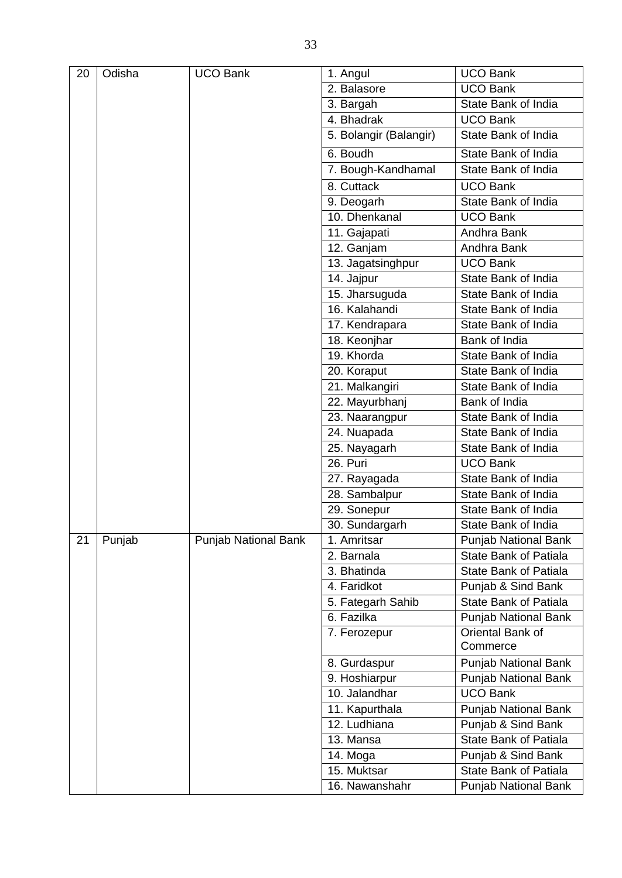| 20 | Odisha | <b>UCO Bank</b>             | 1. Angul               | <b>UCO Bank</b>              |
|----|--------|-----------------------------|------------------------|------------------------------|
|    |        |                             | 2. Balasore            | <b>UCO Bank</b>              |
|    |        |                             | 3. Bargah              | State Bank of India          |
|    |        |                             | 4. Bhadrak             | <b>UCO Bank</b>              |
|    |        |                             | 5. Bolangir (Balangir) | State Bank of India          |
|    |        |                             | 6. Boudh               | State Bank of India          |
|    |        |                             | 7. Bough-Kandhamal     | State Bank of India          |
|    |        |                             | 8. Cuttack             | <b>UCO Bank</b>              |
|    |        |                             | 9. Deogarh             | State Bank of India          |
|    |        |                             | 10. Dhenkanal          | <b>UCO Bank</b>              |
|    |        |                             | 11. Gajapati           | Andhra Bank                  |
|    |        |                             | 12. Ganjam             | Andhra Bank                  |
|    |        |                             | 13. Jagatsinghpur      | <b>UCO Bank</b>              |
|    |        |                             | 14. Jajpur             | State Bank of India          |
|    |        |                             | 15. Jharsuguda         | State Bank of India          |
|    |        |                             | 16. Kalahandi          | State Bank of India          |
|    |        |                             | 17. Kendrapara         | State Bank of India          |
|    |        |                             | 18. Keonjhar           | Bank of India                |
|    |        |                             | 19. Khorda             | State Bank of India          |
|    |        |                             | 20. Koraput            | State Bank of India          |
|    |        |                             | 21. Malkangiri         | State Bank of India          |
|    |        |                             | 22. Mayurbhanj         | Bank of India                |
|    |        |                             | 23. Naarangpur         | State Bank of India          |
|    |        |                             | 24. Nuapada            | State Bank of India          |
|    |        |                             | 25. Nayagarh           | State Bank of India          |
|    |        |                             | 26. Puri               | <b>UCO Bank</b>              |
|    |        |                             | 27. Rayagada           | State Bank of India          |
|    |        |                             | 28. Sambalpur          | State Bank of India          |
|    |        |                             | 29. Sonepur            | State Bank of India          |
|    |        |                             | 30. Sundargarh         | State Bank of India          |
| 21 | Punjab | <b>Punjab National Bank</b> | 1. Amritsar            | Punjab National Bank         |
|    |        |                             | 2. Barnala             | <b>State Bank of Patiala</b> |
|    |        |                             | 3. Bhatinda            | <b>State Bank of Patiala</b> |
|    |        |                             | 4. Faridkot            | Punjab & Sind Bank           |
|    |        |                             | 5. Fategarh Sahib      | <b>State Bank of Patiala</b> |
|    |        |                             | 6. Fazilka             | Punjab National Bank         |
|    |        |                             | 7. Ferozepur           | Oriental Bank of<br>Commerce |
|    |        |                             | 8. Gurdaspur           | <b>Punjab National Bank</b>  |
|    |        |                             | 9. Hoshiarpur          | <b>Punjab National Bank</b>  |
|    |        |                             | 10. Jalandhar          | <b>UCO Bank</b>              |
|    |        |                             | 11. Kapurthala         | <b>Punjab National Bank</b>  |
|    |        |                             | 12. Ludhiana           | Punjab & Sind Bank           |
|    |        |                             | 13. Mansa              | <b>State Bank of Patiala</b> |
|    |        |                             | 14. Moga               | Punjab & Sind Bank           |
|    |        |                             | 15. Muktsar            | <b>State Bank of Patiala</b> |
|    |        |                             | 16. Nawanshahr         | <b>Punjab National Bank</b>  |
|    |        |                             |                        |                              |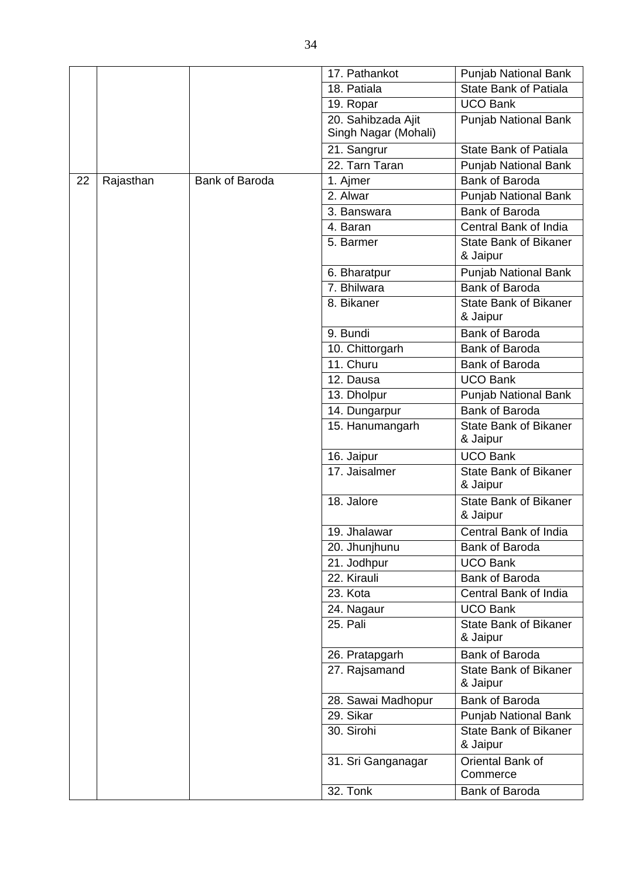|    |           |                       | 17. Pathankot                              | Punjab National Bank                     |
|----|-----------|-----------------------|--------------------------------------------|------------------------------------------|
|    |           |                       | 18. Patiala                                | State Bank of Patiala                    |
|    |           |                       | 19. Ropar                                  | <b>UCO Bank</b>                          |
|    |           |                       | 20. Sahibzada Ajit<br>Singh Nagar (Mohali) | Punjab National Bank                     |
|    |           |                       | 21. Sangrur                                | <b>State Bank of Patiala</b>             |
|    |           |                       | 22. Tarn Taran                             | Punjab National Bank                     |
| 22 | Rajasthan | <b>Bank of Baroda</b> | 1. Ajmer                                   | <b>Bank of Baroda</b>                    |
|    |           |                       | 2. Alwar                                   | <b>Punjab National Bank</b>              |
|    |           |                       | 3. Banswara                                | <b>Bank of Baroda</b>                    |
|    |           |                       | 4. Baran                                   | Central Bank of India                    |
|    |           |                       | 5. Barmer                                  | <b>State Bank of Bikaner</b><br>& Jaipur |
|    |           |                       | 6. Bharatpur                               | <b>Punjab National Bank</b>              |
|    |           |                       | 7. Bhilwara                                | <b>Bank of Baroda</b>                    |
|    |           |                       | 8. Bikaner                                 | <b>State Bank of Bikaner</b><br>& Jaipur |
|    |           |                       | 9. Bundi                                   | <b>Bank of Baroda</b>                    |
|    |           |                       | 10. Chittorgarh                            | Bank of Baroda                           |
|    |           |                       | 11. Churu                                  | <b>Bank of Baroda</b>                    |
|    |           |                       | 12. Dausa                                  | <b>UCO Bank</b>                          |
|    |           |                       | 13. Dholpur                                | <b>Punjab National Bank</b>              |
|    |           |                       | 14. Dungarpur                              | <b>Bank of Baroda</b>                    |
|    |           |                       | 15. Hanumangarh                            | <b>State Bank of Bikaner</b><br>& Jaipur |
|    |           |                       | 16. Jaipur                                 | <b>UCO Bank</b>                          |
|    |           |                       | 17. Jaisalmer                              | <b>State Bank of Bikaner</b><br>& Jaipur |
|    |           |                       | 18. Jalore                                 | <b>State Bank of Bikaner</b><br>& Jaipur |
|    |           |                       | 19. Jhalawar                               | <b>Central Bank of India</b>             |
|    |           |                       | 20. Jhunjhunu                              | Bank of Baroda                           |
|    |           |                       | 21. Jodhpur                                | <b>UCO Bank</b>                          |
|    |           |                       | 22. Kirauli                                | Bank of Baroda                           |
|    |           |                       | 23. Kota                                   | Central Bank of India                    |
|    |           |                       | 24. Nagaur                                 | <b>UCO Bank</b>                          |
|    |           |                       | 25. Pali                                   | <b>State Bank of Bikaner</b><br>& Jaipur |
|    |           |                       | 26. Pratapgarh                             | <b>Bank of Baroda</b>                    |
|    |           |                       | 27. Rajsamand                              | <b>State Bank of Bikaner</b><br>& Jaipur |
|    |           |                       | 28. Sawai Madhopur                         | Bank of Baroda                           |
|    |           |                       | 29. Sikar                                  | <b>Punjab National Bank</b>              |
|    |           |                       | 30. Sirohi                                 | <b>State Bank of Bikaner</b><br>& Jaipur |
|    |           |                       | 31. Sri Ganganagar                         | Oriental Bank of<br>Commerce             |
|    |           |                       | 32. Tonk                                   | Bank of Baroda                           |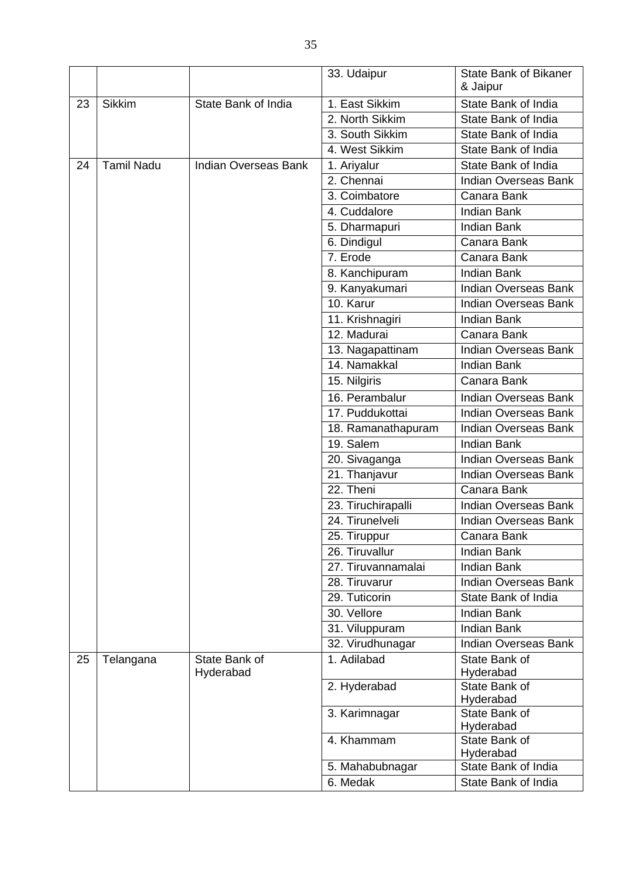|    |                   |                      | 33. Udaipur        | <b>State Bank of Bikaner</b> |
|----|-------------------|----------------------|--------------------|------------------------------|
|    |                   |                      |                    | & Jaipur                     |
| 23 | <b>Sikkim</b>     | State Bank of India  | 1. East Sikkim     | State Bank of India          |
|    |                   |                      | 2. North Sikkim    | State Bank of India          |
|    |                   |                      | 3. South Sikkim    | State Bank of India          |
|    |                   |                      | 4. West Sikkim     | State Bank of India          |
| 24 | <b>Tamil Nadu</b> | Indian Overseas Bank | 1. Ariyalur        | State Bank of India          |
|    |                   |                      | 2. Chennai         | <b>Indian Overseas Bank</b>  |
|    |                   |                      | 3. Coimbatore      | Canara Bank                  |
|    |                   |                      | 4. Cuddalore       | <b>Indian Bank</b>           |
|    |                   |                      | 5. Dharmapuri      | <b>Indian Bank</b>           |
|    |                   |                      | 6. Dindigul        | Canara Bank                  |
|    |                   |                      | 7. Erode           | Canara Bank                  |
|    |                   |                      | 8. Kanchipuram     | <b>Indian Bank</b>           |
|    |                   |                      | 9. Kanyakumari     | <b>Indian Overseas Bank</b>  |
|    |                   |                      | 10. Karur          | Indian Overseas Bank         |
|    |                   |                      | 11. Krishnagiri    | <b>Indian Bank</b>           |
|    |                   |                      | 12. Madurai        | Canara Bank                  |
|    |                   |                      | 13. Nagapattinam   | Indian Overseas Bank         |
|    |                   |                      | 14. Namakkal       | <b>Indian Bank</b>           |
|    |                   |                      | 15. Nilgiris       | Canara Bank                  |
|    |                   |                      | 16. Perambalur     | <b>Indian Overseas Bank</b>  |
|    |                   |                      | 17. Puddukottai    | <b>Indian Overseas Bank</b>  |
|    |                   |                      | 18. Ramanathapuram | Indian Overseas Bank         |
|    |                   |                      | 19. Salem          | <b>Indian Bank</b>           |
|    |                   |                      | 20. Sivaganga      | <b>Indian Overseas Bank</b>  |
|    |                   |                      | 21. Thanjavur      | <b>Indian Overseas Bank</b>  |
|    |                   |                      | 22. Theni          | Canara Bank                  |
|    |                   |                      | 23. Tiruchirapalli | Indian Overseas Bank         |
|    |                   |                      | 24. Tirunelveli    | <b>Indian Overseas Bank</b>  |
|    |                   |                      | 25. Tiruppur       | Canara Bank                  |
|    |                   |                      | 26. Tiruvallur     | <b>Indian Bank</b>           |
|    |                   |                      | 27. Tiruvannamalai | <b>Indian Bank</b>           |
|    |                   |                      | 28. Tiruvarur      | <b>Indian Overseas Bank</b>  |
|    |                   |                      | 29. Tuticorin      | State Bank of India          |
|    |                   |                      | 30. Vellore        | <b>Indian Bank</b>           |
|    |                   |                      | 31. Viluppuram     | <b>Indian Bank</b>           |
|    |                   |                      | 32. Virudhunagar   | <b>Indian Overseas Bank</b>  |
| 25 | Telangana         | State Bank of        | 1. Adilabad        | State Bank of                |
|    |                   | Hyderabad            |                    | Hyderabad                    |
|    |                   |                      | 2. Hyderabad       | State Bank of                |
|    |                   |                      |                    | Hyderabad                    |
|    |                   |                      | 3. Karimnagar      | State Bank of                |
|    |                   |                      | 4. Khammam         | Hyderabad<br>State Bank of   |
|    |                   |                      |                    | Hyderabad                    |
|    |                   |                      | 5. Mahabubnagar    | State Bank of India          |
|    |                   |                      | 6. Medak           | State Bank of India          |

 $\overline{\phantom{a}}$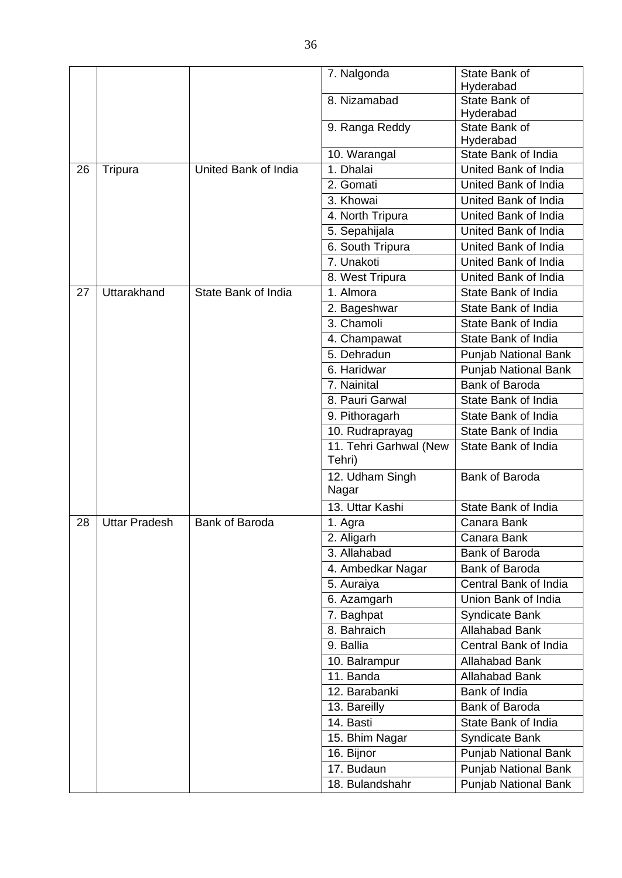|    |                      |                       | 7. Nalgonda               | State Bank of                    |
|----|----------------------|-----------------------|---------------------------|----------------------------------|
|    |                      |                       |                           | Hyderabad                        |
|    |                      |                       | 8. Nizamabad              | State Bank of                    |
|    |                      |                       |                           | Hyderabad                        |
|    |                      |                       | 9. Ranga Reddy            | State Bank of                    |
|    |                      |                       |                           | Hyderabad<br>State Bank of India |
|    |                      | United Bank of India  | 10. Warangal<br>1. Dhalai | United Bank of India             |
| 26 | Tripura              |                       | 2. Gomati                 | United Bank of India             |
|    |                      |                       | 3. Khowai                 | United Bank of India             |
|    |                      |                       | 4. North Tripura          | United Bank of India             |
|    |                      |                       | 5. Sepahijala             | United Bank of India             |
|    |                      |                       | 6. South Tripura          | United Bank of India             |
|    |                      |                       | 7. Unakoti                | United Bank of India             |
|    |                      |                       | 8. West Tripura           | United Bank of India             |
| 27 | Uttarakhand          | State Bank of India   | 1. Almora                 | State Bank of India              |
|    |                      |                       | 2. Bageshwar              | State Bank of India              |
|    |                      |                       | 3. Chamoli                | State Bank of India              |
|    |                      |                       | 4. Champawat              | State Bank of India              |
|    |                      |                       | 5. Dehradun               | <b>Punjab National Bank</b>      |
|    |                      |                       | 6. Haridwar               | <b>Punjab National Bank</b>      |
|    |                      |                       | 7. Nainital               | Bank of Baroda                   |
|    |                      |                       | 8. Pauri Garwal           | State Bank of India              |
|    |                      |                       | 9. Pithoragarh            | State Bank of India              |
|    |                      |                       | 10. Rudraprayag           | State Bank of India              |
|    |                      |                       | 11. Tehri Garhwal (New    | State Bank of India              |
|    |                      |                       | Tehri)                    |                                  |
|    |                      |                       | 12. Udham Singh<br>Nagar  | Bank of Baroda                   |
|    |                      |                       | 13. Uttar Kashi           | State Bank of India              |
| 28 | <b>Uttar Pradesh</b> | <b>Bank of Baroda</b> | 1. Agra                   | Canara Bank                      |
|    |                      |                       | 2. Aligarh                | Canara Bank                      |
|    |                      |                       | 3. Allahabad              | <b>Bank of Baroda</b>            |
|    |                      |                       | 4. Ambedkar Nagar         | Bank of Baroda                   |
|    |                      |                       | 5. Auraiya                | Central Bank of India            |
|    |                      |                       | 6. Azamgarh               | Union Bank of India              |
|    |                      |                       | 7. Baghpat                | Syndicate Bank                   |
|    |                      |                       | 8. Bahraich               | <b>Allahabad Bank</b>            |
|    |                      |                       | 9. Ballia                 | Central Bank of India            |
|    |                      |                       | 10. Balrampur             | <b>Allahabad Bank</b>            |
|    |                      |                       | 11. Banda                 | <b>Allahabad Bank</b>            |
|    |                      |                       | 12. Barabanki             | Bank of India                    |
|    |                      |                       | 13. Bareilly              | Bank of Baroda                   |
|    |                      |                       | 14. Basti                 | State Bank of India              |
|    |                      |                       | 15. Bhim Nagar            | <b>Syndicate Bank</b>            |
|    |                      |                       | 16. Bijnor                | Punjab National Bank             |
|    |                      |                       | 17. Budaun                | Punjab National Bank             |
|    |                      |                       | 18. Bulandshahr           | Punjab National Bank             |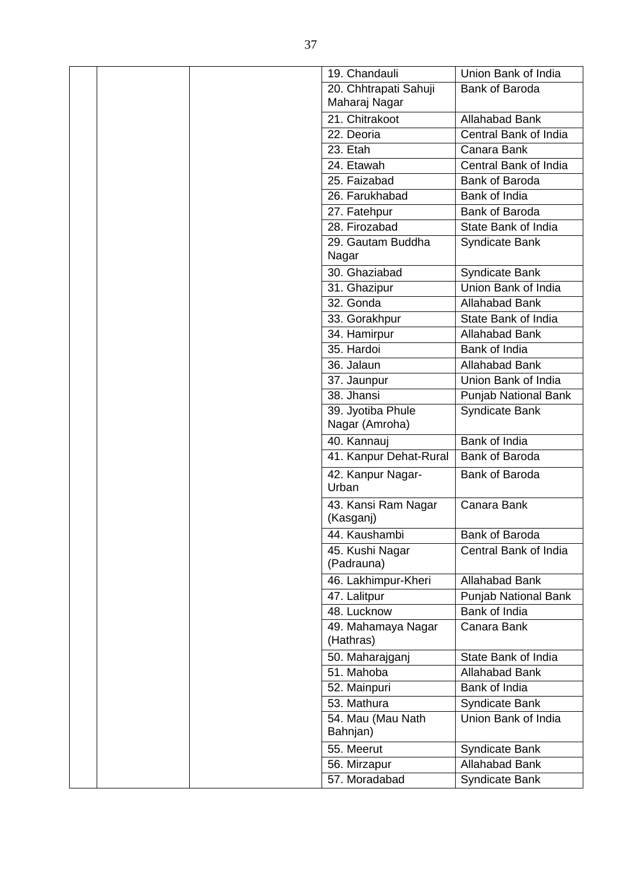|  | 19. Chandauli                       | Union Bank of India         |
|--|-------------------------------------|-----------------------------|
|  | 20. Chhtrapati Sahuji               | <b>Bank of Baroda</b>       |
|  | Maharaj Nagar                       |                             |
|  | 21. Chitrakoot                      | <b>Allahabad Bank</b>       |
|  | 22. Deoria                          | Central Bank of India       |
|  | 23. Etah                            | Canara Bank                 |
|  | 24. Etawah                          | Central Bank of India       |
|  | 25. Faizabad                        | <b>Bank of Baroda</b>       |
|  | 26. Farukhabad                      | Bank of India               |
|  | 27. Fatehpur                        | <b>Bank of Baroda</b>       |
|  | 28. Firozabad                       | State Bank of India         |
|  | 29. Gautam Buddha<br>Nagar          | Syndicate Bank              |
|  | 30. Ghaziabad                       | <b>Syndicate Bank</b>       |
|  | 31. Ghazipur                        | Union Bank of India         |
|  | 32. Gonda                           | Allahabad Bank              |
|  | 33. Gorakhpur                       | State Bank of India         |
|  | 34. Hamirpur                        | <b>Allahabad Bank</b>       |
|  | 35. Hardoi                          | Bank of India               |
|  | 36. Jalaun                          | <b>Allahabad Bank</b>       |
|  | 37. Jaunpur                         | Union Bank of India         |
|  | 38. Jhansi                          | <b>Punjab National Bank</b> |
|  | 39. Jyotiba Phule<br>Nagar (Amroha) | <b>Syndicate Bank</b>       |
|  | 40. Kannauj                         | Bank of India               |
|  | 41. Kanpur Dehat-Rural              | Bank of Baroda              |
|  | 42. Kanpur Nagar-<br>Urban          | <b>Bank of Baroda</b>       |
|  | 43. Kansi Ram Nagar<br>(Kasganj)    | Canara Bank                 |
|  | 44. Kaushambi                       | Bank of Baroda              |
|  | 45. Kushi Nagar<br>(Padrauna)       | Central Bank of India       |
|  | 46. Lakhimpur-Kheri                 | <b>Allahabad Bank</b>       |
|  | 47. Lalitpur                        | <b>Punjab National Bank</b> |
|  | 48. Lucknow                         | Bank of India               |
|  | 49. Mahamaya Nagar<br>(Hathras)     | Canara Bank                 |
|  | 50. Maharajganj                     | State Bank of India         |
|  | 51. Mahoba                          | <b>Allahabad Bank</b>       |
|  | 52. Mainpuri                        | Bank of India               |
|  | 53. Mathura                         | Syndicate Bank              |
|  | 54. Mau (Mau Nath<br>Bahnjan)       | Union Bank of India         |
|  | 55. Meerut                          | Syndicate Bank              |
|  |                                     |                             |
|  | 56. Mirzapur                        | <b>Allahabad Bank</b>       |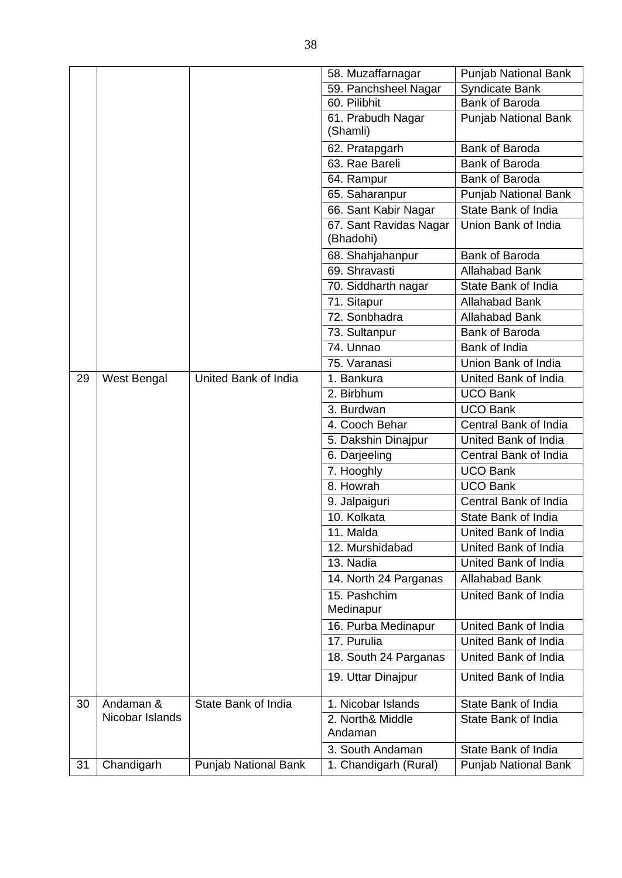|    |                 |                             | 58. Muzaffarnagar                   | <b>Punjab National Bank</b> |
|----|-----------------|-----------------------------|-------------------------------------|-----------------------------|
|    |                 |                             | 59. Panchsheel Nagar                | <b>Syndicate Bank</b>       |
|    |                 |                             | 60. Pilibhit                        | Bank of Baroda              |
|    |                 |                             | 61. Prabudh Nagar<br>(Shamli)       | Punjab National Bank        |
|    |                 |                             | 62. Pratapgarh                      | Bank of Baroda              |
|    |                 |                             | 63. Rae Bareli                      | Bank of Baroda              |
|    |                 |                             | 64. Rampur                          | <b>Bank of Baroda</b>       |
|    |                 |                             | 65. Saharanpur                      | Punjab National Bank        |
|    |                 |                             | 66. Sant Kabir Nagar                | State Bank of India         |
|    |                 |                             | 67. Sant Ravidas Nagar<br>(Bhadohi) | Union Bank of India         |
|    |                 |                             | 68. Shahjahanpur                    | <b>Bank of Baroda</b>       |
|    |                 |                             | 69. Shravasti                       | <b>Allahabad Bank</b>       |
|    |                 |                             | 70. Siddharth nagar                 | State Bank of India         |
|    |                 |                             | 71. Sitapur                         | <b>Allahabad Bank</b>       |
|    |                 |                             | 72. Sonbhadra                       | <b>Allahabad Bank</b>       |
|    |                 |                             | 73. Sultanpur                       | Bank of Baroda              |
|    |                 |                             | 74. Unnao                           | Bank of India               |
|    |                 |                             | 75. Varanasi                        | Union Bank of India         |
| 29 | West Bengal     | United Bank of India        | 1. Bankura                          | United Bank of India        |
|    |                 |                             | 2. Birbhum                          | <b>UCO Bank</b>             |
|    |                 |                             | 3. Burdwan                          | UCO Bank                    |
|    |                 |                             | 4. Cooch Behar                      | Central Bank of India       |
|    |                 |                             | 5. Dakshin Dinajpur                 | United Bank of India        |
|    |                 |                             | 6. Darjeeling                       | Central Bank of India       |
|    |                 |                             | 7. Hooghly                          | <b>UCO Bank</b>             |
|    |                 |                             | 8. Howrah                           | <b>UCO Bank</b>             |
|    |                 |                             | 9. Jalpaiguri                       | Central Bank of India       |
|    |                 |                             | 10. Kolkata                         | State Bank of India         |
|    |                 |                             | 11. Malda                           | United Bank of India        |
|    |                 |                             | 12. Murshidabad                     | United Bank of India        |
|    |                 |                             | 13. Nadia                           | United Bank of India        |
|    |                 |                             | 14. North 24 Parganas               | <b>Allahabad Bank</b>       |
|    |                 |                             | 15. Pashchim<br>Medinapur           | United Bank of India        |
|    |                 |                             | 16. Purba Medinapur                 | United Bank of India        |
|    |                 |                             | 17. Purulia                         | United Bank of India        |
|    |                 |                             | 18. South 24 Parganas               | United Bank of India        |
|    |                 |                             | 19. Uttar Dinajpur                  | United Bank of India        |
| 30 | Andaman &       | State Bank of India         | 1. Nicobar Islands                  | State Bank of India         |
|    | Nicobar Islands |                             | 2. North& Middle<br>Andaman         | State Bank of India         |
|    |                 |                             | 3. South Andaman                    | State Bank of India         |
| 31 | Chandigarh      | <b>Punjab National Bank</b> | 1. Chandigarh (Rural)               | <b>Punjab National Bank</b> |